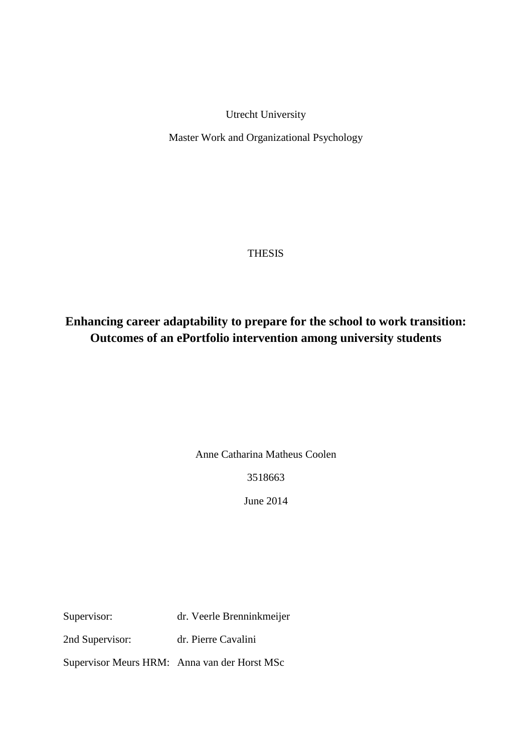Utrecht University

Master Work and Organizational Psychology

# **THESIS**

# **Enhancing career adaptability to prepare for the school to work transition: Outcomes of an ePortfolio intervention among university students**

Anne Catharina Matheus Coolen

3518663

June 2014

Supervisor: dr. Veerle Brenninkmeijer

2nd Supervisor: dr. Pierre Cavalini

Supervisor Meurs HRM: Anna van der Horst MSc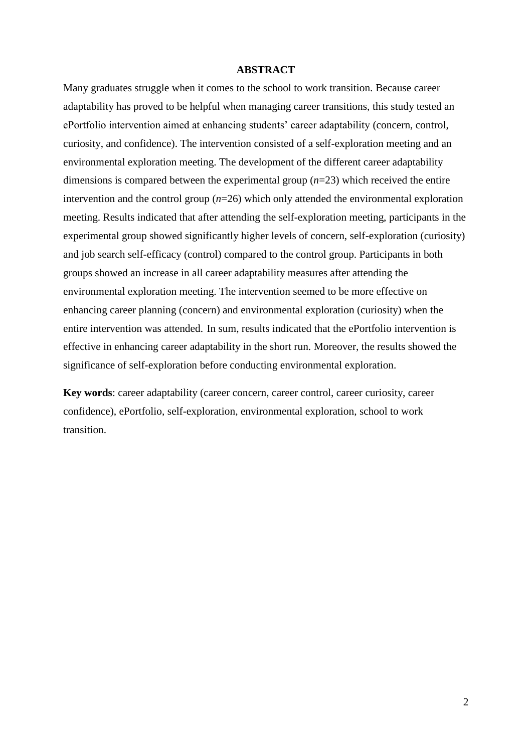# **ABSTRACT**

Many graduates struggle when it comes to the school to work transition. Because career adaptability has proved to be helpful when managing career transitions, this study tested an ePortfolio intervention aimed at enhancing students' career adaptability (concern, control, curiosity, and confidence). The intervention consisted of a self-exploration meeting and an environmental exploration meeting. The development of the different career adaptability dimensions is compared between the experimental group (*n*=23) which received the entire intervention and the control group (*n*=26) which only attended the environmental exploration meeting. Results indicated that after attending the self-exploration meeting, participants in the experimental group showed significantly higher levels of concern, self-exploration (curiosity) and job search self-efficacy (control) compared to the control group. Participants in both groups showed an increase in all career adaptability measures after attending the environmental exploration meeting. The intervention seemed to be more effective on enhancing career planning (concern) and environmental exploration (curiosity) when the entire intervention was attended. In sum, results indicated that the ePortfolio intervention is effective in enhancing career adaptability in the short run. Moreover, the results showed the significance of self-exploration before conducting environmental exploration.

**Key words**: career adaptability (career concern, career control, career curiosity, career confidence), ePortfolio, self-exploration, environmental exploration, school to work transition.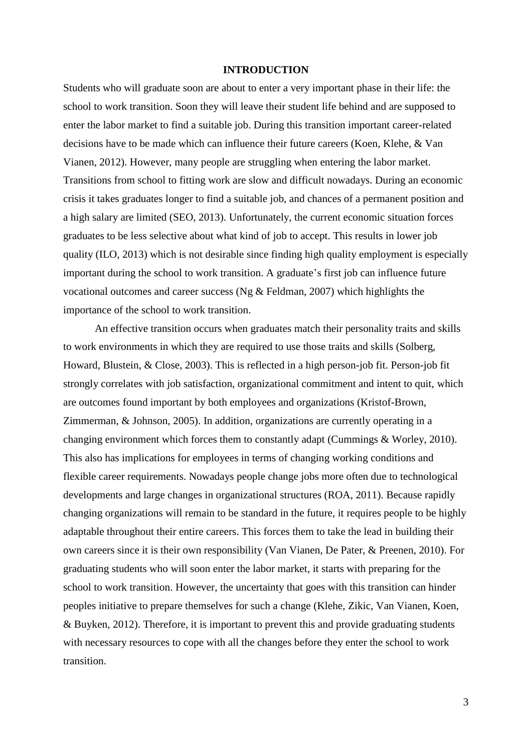## **INTRODUCTION**

Students who will graduate soon are about to enter a very important phase in their life: the school to work transition. Soon they will leave their student life behind and are supposed to enter the labor market to find a suitable job. During this transition important career-related decisions have to be made which can influence their future careers (Koen, Klehe, & Van Vianen, 2012). However, many people are struggling when entering the labor market. Transitions from school to fitting work are slow and difficult nowadays. During an economic crisis it takes graduates longer to find a suitable job, and chances of a permanent position and a high salary are limited (SEO, 2013). Unfortunately, the current economic situation forces graduates to be less selective about what kind of job to accept. This results in lower job quality (ILO, 2013) which is not desirable since finding high quality employment is especially important during the school to work transition. A graduate's first job can influence future vocational outcomes and career success (Ng & Feldman, 2007) which highlights the importance of the school to work transition.

An effective transition occurs when graduates match their personality traits and skills to work environments in which they are required to use those traits and skills (Solberg, Howard, Blustein, & Close, 2003). This is reflected in a high person-job fit. Person-job fit strongly correlates with job satisfaction, organizational commitment and intent to quit, which are outcomes found important by both employees and organizations (Kristof-Brown, Zimmerman, & Johnson, 2005). In addition, organizations are currently operating in a changing environment which forces them to constantly adapt (Cummings & Worley, 2010). This also has implications for employees in terms of changing working conditions and flexible career requirements. Nowadays people change jobs more often due to technological developments and large changes in organizational structures (ROA, 2011). Because rapidly changing organizations will remain to be standard in the future, it requires people to be highly adaptable throughout their entire careers. This forces them to take the lead in building their own careers since it is their own responsibility (Van Vianen, De Pater, & Preenen, 2010). For graduating students who will soon enter the labor market, it starts with preparing for the school to work transition. However, the uncertainty that goes with this transition can hinder peoples initiative to prepare themselves for such a change (Klehe, Zikic, Van Vianen, Koen, & Buyken, 2012). Therefore, it is important to prevent this and provide graduating students with necessary resources to cope with all the changes before they enter the school to work transition.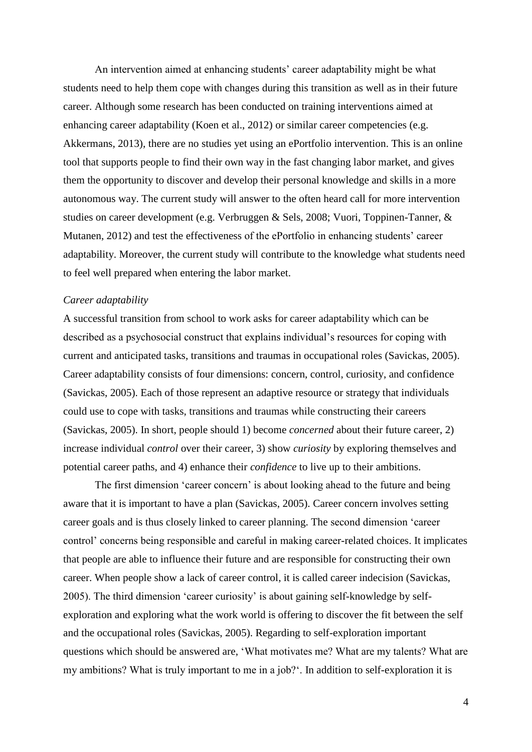An intervention aimed at enhancing students' career adaptability might be what students need to help them cope with changes during this transition as well as in their future career. Although some research has been conducted on training interventions aimed at enhancing career adaptability (Koen et al., 2012) or similar career competencies (e.g. Akkermans, 2013), there are no studies yet using an ePortfolio intervention. This is an online tool that supports people to find their own way in the fast changing labor market, and gives them the opportunity to discover and develop their personal knowledge and skills in a more autonomous way. The current study will answer to the often heard call for more intervention studies on career development (e.g. Verbruggen & Sels, 2008; Vuori, Toppinen-Tanner, & Mutanen, 2012) and test the effectiveness of the ePortfolio in enhancing students' career adaptability. Moreover, the current study will contribute to the knowledge what students need to feel well prepared when entering the labor market.

## *Career adaptability*

A successful transition from school to work asks for career adaptability which can be described as a psychosocial construct that explains individual's resources for coping with current and anticipated tasks, transitions and traumas in occupational roles (Savickas, 2005). Career adaptability consists of four dimensions: concern, control, curiosity, and confidence (Savickas, 2005). Each of those represent an adaptive resource or strategy that individuals could use to cope with tasks, transitions and traumas while constructing their careers (Savickas, 2005). In short, people should 1) become *concerned* about their future career, 2) increase individual *control* over their career, 3) show *curiosity* by exploring themselves and potential career paths, and 4) enhance their *confidence* to live up to their ambitions.

The first dimension 'career concern' is about looking ahead to the future and being aware that it is important to have a plan (Savickas, 2005). Career concern involves setting career goals and is thus closely linked to career planning. The second dimension 'career control' concerns being responsible and careful in making career-related choices. It implicates that people are able to influence their future and are responsible for constructing their own career. When people show a lack of career control, it is called career indecision (Savickas, 2005). The third dimension 'career curiosity' is about gaining self-knowledge by selfexploration and exploring what the work world is offering to discover the fit between the self and the occupational roles (Savickas, 2005). Regarding to self-exploration important questions which should be answered are, 'What motivates me? What are my talents? What are my ambitions? What is truly important to me in a job?'. In addition to self-exploration it is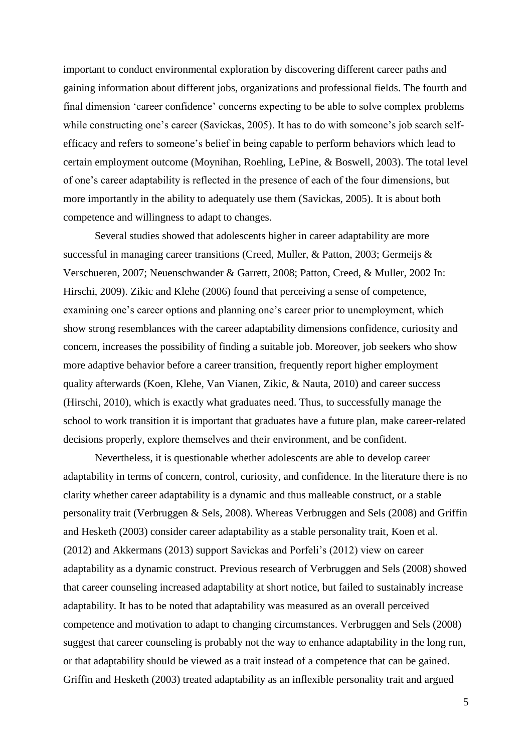important to conduct environmental exploration by discovering different career paths and gaining information about different jobs, organizations and professional fields. The fourth and final dimension 'career confidence' concerns expecting to be able to solve complex problems while constructing one's career (Savickas, 2005). It has to do with someone's job search selfefficacy and refers to someone's belief in being capable to perform behaviors which lead to certain employment outcome (Moynihan, Roehling, LePine, & Boswell, 2003). The total level of one's career adaptability is reflected in the presence of each of the four dimensions, but more importantly in the ability to adequately use them (Savickas, 2005). It is about both competence and willingness to adapt to changes.

Several studies showed that adolescents higher in career adaptability are more successful in managing career transitions (Creed, Muller, & Patton, 2003; Germeijs & Verschueren, 2007; Neuenschwander & Garrett, 2008; Patton, Creed, & Muller, 2002 In: Hirschi, 2009). Zikic and Klehe (2006) found that perceiving a sense of competence, examining one's career options and planning one's career prior to unemployment, which show strong resemblances with the career adaptability dimensions confidence, curiosity and concern, increases the possibility of finding a suitable job. Moreover, job seekers who show more adaptive behavior before a career transition, frequently report higher employment quality afterwards (Koen, Klehe, Van Vianen, Zikic, & Nauta, 2010) and career success (Hirschi, 2010), which is exactly what graduates need. Thus, to successfully manage the school to work transition it is important that graduates have a future plan, make career-related decisions properly, explore themselves and their environment, and be confident.

Nevertheless, it is questionable whether adolescents are able to develop career adaptability in terms of concern, control, curiosity, and confidence. In the literature there is no clarity whether career adaptability is a dynamic and thus malleable construct, or a stable personality trait (Verbruggen & Sels, 2008). Whereas Verbruggen and Sels (2008) and Griffin and Hesketh (2003) consider career adaptability as a stable personality trait, Koen et al. (2012) and Akkermans (2013) support Savickas and Porfeli's (2012) view on career adaptability as a dynamic construct. Previous research of Verbruggen and Sels (2008) showed that career counseling increased adaptability at short notice, but failed to sustainably increase adaptability. It has to be noted that adaptability was measured as an overall perceived competence and motivation to adapt to changing circumstances. Verbruggen and Sels (2008) suggest that career counseling is probably not the way to enhance adaptability in the long run, or that adaptability should be viewed as a trait instead of a competence that can be gained. Griffin and Hesketh (2003) treated adaptability as an inflexible personality trait and argued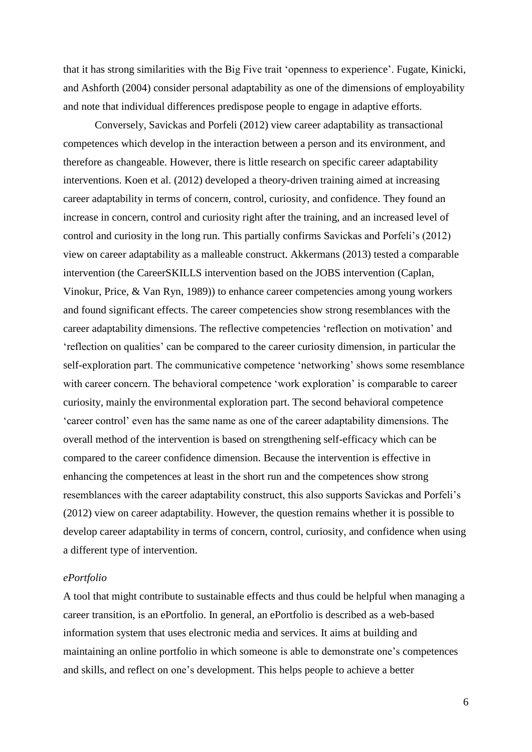that it has strong similarities with the Big Five trait 'openness to experience'. Fugate, Kinicki, and Ashforth (2004) consider personal adaptability as one of the dimensions of employability and note that individual differences predispose people to engage in adaptive efforts.

Conversely, Savickas and Porfeli (2012) view career adaptability as transactional competences which develop in the interaction between a person and its environment, and therefore as changeable. However, there is little research on specific career adaptability interventions. Koen et al. (2012) developed a theory-driven training aimed at increasing career adaptability in terms of concern, control, curiosity, and confidence. They found an increase in concern, control and curiosity right after the training, and an increased level of control and curiosity in the long run. This partially confirms Savickas and Porfeli's (2012) view on career adaptability as a malleable construct. Akkermans (2013) tested a comparable intervention (the CareerSKILLS intervention based on the JOBS intervention (Caplan, Vinokur, Price, & Van Ryn, 1989)) to enhance career competencies among young workers and found significant effects. The career competencies show strong resemblances with the career adaptability dimensions. The reflective competencies 'reflection on motivation' and 'reflection on qualities' can be compared to the career curiosity dimension, in particular the self-exploration part. The communicative competence 'networking' shows some resemblance with career concern. The behavioral competence 'work exploration' is comparable to career curiosity, mainly the environmental exploration part. The second behavioral competence 'career control' even has the same name as one of the career adaptability dimensions. The overall method of the intervention is based on strengthening self-efficacy which can be compared to the career confidence dimension. Because the intervention is effective in enhancing the competences at least in the short run and the competences show strong resemblances with the career adaptability construct, this also supports Savickas and Porfeli's (2012) view on career adaptability. However, the question remains whether it is possible to develop career adaptability in terms of concern, control, curiosity, and confidence when using a different type of intervention.

# *ePortfolio*

A tool that might contribute to sustainable effects and thus could be helpful when managing a career transition, is an ePortfolio. In general, an ePortfolio is described as a web-based information system that uses electronic media and services. It aims at building and maintaining an online portfolio in which someone is able to demonstrate one's competences and skills, and reflect on one's development. This helps people to achieve a better

6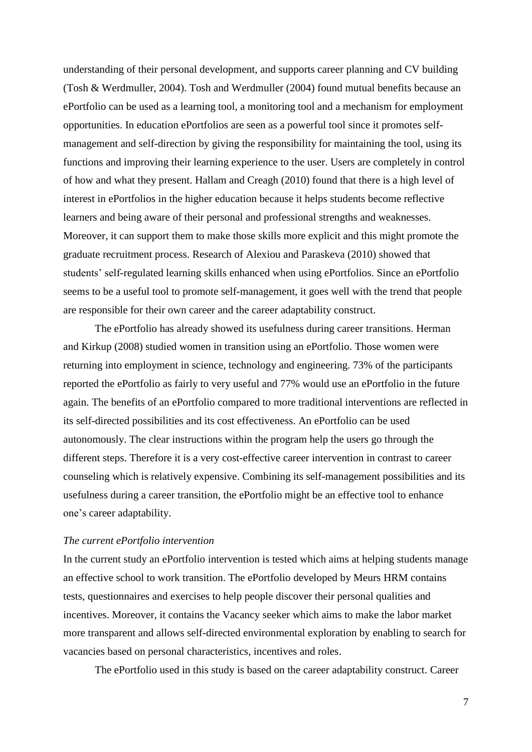understanding of their personal development, and supports career planning and CV building (Tosh & Werdmuller, 2004). Tosh and Werdmuller (2004) found mutual benefits because an ePortfolio can be used as a learning tool, a monitoring tool and a mechanism for employment opportunities. In education ePortfolios are seen as a powerful tool since it promotes selfmanagement and self-direction by giving the responsibility for maintaining the tool, using its functions and improving their learning experience to the user. Users are completely in control of how and what they present. Hallam and Creagh (2010) found that there is a high level of interest in ePortfolios in the higher education because it helps students become reflective learners and being aware of their personal and professional strengths and weaknesses. Moreover, it can support them to make those skills more explicit and this might promote the graduate recruitment process. Research of Alexiou and Paraskeva (2010) showed that students' self-regulated learning skills enhanced when using ePortfolios. Since an ePortfolio seems to be a useful tool to promote self-management, it goes well with the trend that people are responsible for their own career and the career adaptability construct.

The ePortfolio has already showed its usefulness during career transitions. Herman and Kirkup (2008) studied women in transition using an ePortfolio. Those women were returning into employment in science, technology and engineering. 73% of the participants reported the ePortfolio as fairly to very useful and 77% would use an ePortfolio in the future again. The benefits of an ePortfolio compared to more traditional interventions are reflected in its self-directed possibilities and its cost effectiveness. An ePortfolio can be used autonomously. The clear instructions within the program help the users go through the different steps. Therefore it is a very cost-effective career intervention in contrast to career counseling which is relatively expensive. Combining its self-management possibilities and its usefulness during a career transition, the ePortfolio might be an effective tool to enhance one's career adaptability.

#### *The current ePortfolio intervention*

In the current study an ePortfolio intervention is tested which aims at helping students manage an effective school to work transition. The ePortfolio developed by Meurs HRM contains tests, questionnaires and exercises to help people discover their personal qualities and incentives. Moreover, it contains the Vacancy seeker which aims to make the labor market more transparent and allows self-directed environmental exploration by enabling to search for vacancies based on personal characteristics, incentives and roles.

The ePortfolio used in this study is based on the career adaptability construct. Career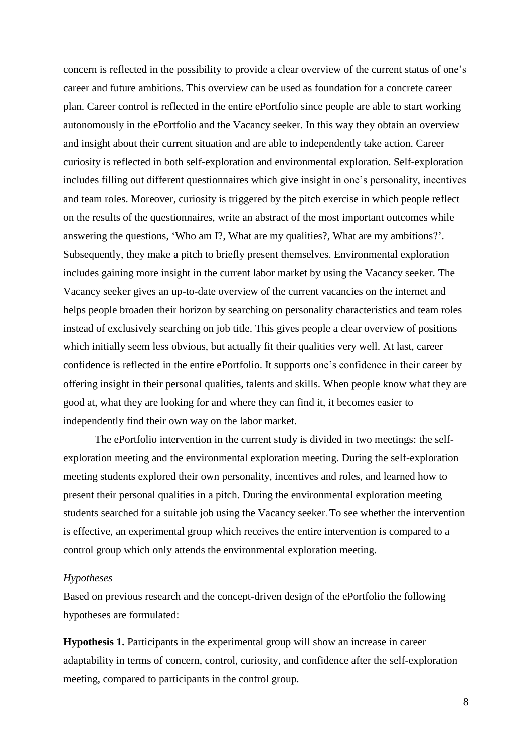concern is reflected in the possibility to provide a clear overview of the current status of one's career and future ambitions. This overview can be used as foundation for a concrete career plan. Career control is reflected in the entire ePortfolio since people are able to start working autonomously in the ePortfolio and the Vacancy seeker. In this way they obtain an overview and insight about their current situation and are able to independently take action. Career curiosity is reflected in both self-exploration and environmental exploration. Self-exploration includes filling out different questionnaires which give insight in one's personality, incentives and team roles. Moreover, curiosity is triggered by the pitch exercise in which people reflect on the results of the questionnaires, write an abstract of the most important outcomes while answering the questions, 'Who am I?, What are my qualities?, What are my ambitions?'. Subsequently, they make a pitch to briefly present themselves. Environmental exploration includes gaining more insight in the current labor market by using the Vacancy seeker. The Vacancy seeker gives an up-to-date overview of the current vacancies on the internet and helps people broaden their horizon by searching on personality characteristics and team roles instead of exclusively searching on job title. This gives people a clear overview of positions which initially seem less obvious, but actually fit their qualities very well. At last, career confidence is reflected in the entire ePortfolio. It supports one's confidence in their career by offering insight in their personal qualities, talents and skills. When people know what they are good at, what they are looking for and where they can find it, it becomes easier to independently find their own way on the labor market.

The ePortfolio intervention in the current study is divided in two meetings: the selfexploration meeting and the environmental exploration meeting. During the self-exploration meeting students explored their own personality, incentives and roles, and learned how to present their personal qualities in a pitch. During the environmental exploration meeting students searched for a suitable job using the Vacancy seeker. To see whether the intervention is effective, an experimental group which receives the entire intervention is compared to a control group which only attends the environmental exploration meeting.

#### *Hypotheses*

Based on previous research and the concept-driven design of the ePortfolio the following hypotheses are formulated:

**Hypothesis 1.** Participants in the experimental group will show an increase in career adaptability in terms of concern, control, curiosity, and confidence after the self-exploration meeting, compared to participants in the control group.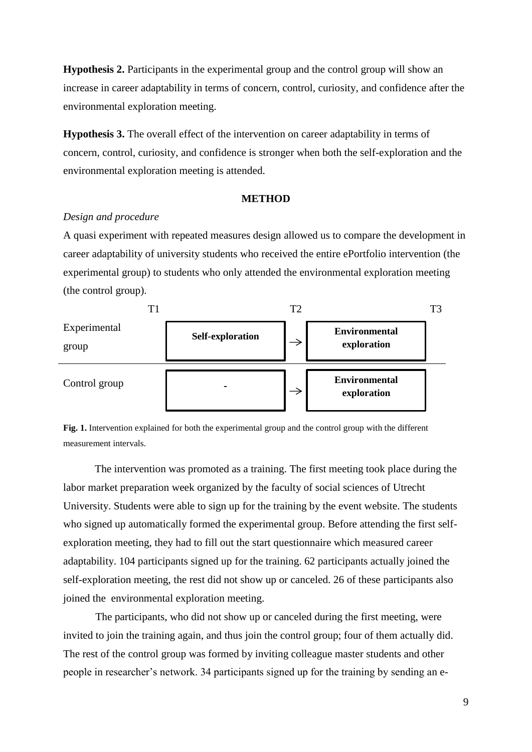**Hypothesis 2.** Participants in the experimental group and the control group will show an increase in career adaptability in terms of concern, control, curiosity, and confidence after the environmental exploration meeting.

**Hypothesis 3.** The overall effect of the intervention on career adaptability in terms of concern, control, curiosity, and confidence is stronger when both the self-exploration and the environmental exploration meeting is attended.

#### **METHOD**

# *Design and procedure*

A quasi experiment with repeated measures design allowed us to compare the development in career adaptability of university students who received the entire ePortfolio intervention (the experimental group) to students who only attended the environmental exploration meeting (the control group).



**Fig. 1.** Intervention explained for both the experimental group and the control group with the different measurement intervals.

The intervention was promoted as a training. The first meeting took place during the labor market preparation week organized by the faculty of social sciences of Utrecht University. Students were able to sign up for the training by the event website. The students who signed up automatically formed the experimental group. Before attending the first selfexploration meeting, they had to fill out the start questionnaire which measured career adaptability. 104 participants signed up for the training. 62 participants actually joined the self-exploration meeting, the rest did not show up or canceled. 26 of these participants also joined the environmental exploration meeting.

The participants, who did not show up or canceled during the first meeting, were invited to join the training again, and thus join the control group; four of them actually did. The rest of the control group was formed by inviting colleague master students and other people in researcher's network. 34 participants signed up for the training by sending an e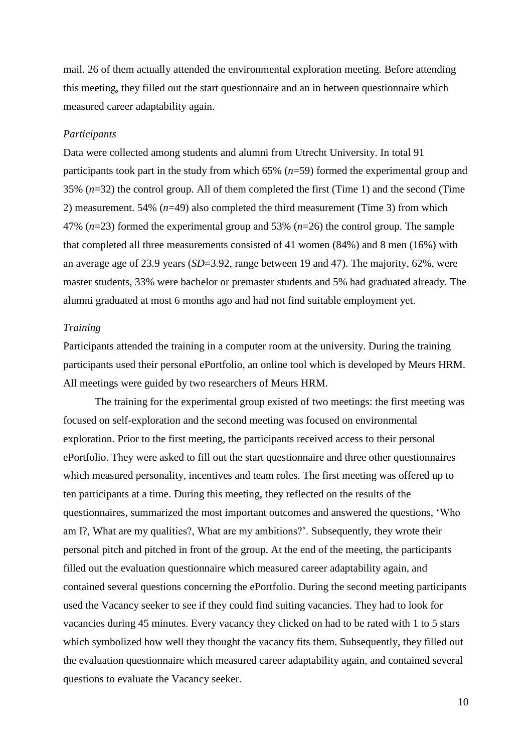mail. 26 of them actually attended the environmental exploration meeting. Before attending this meeting, they filled out the start questionnaire and an in between questionnaire which measured career adaptability again.

#### *Participants*

Data were collected among students and alumni from Utrecht University. In total 91 participants took part in the study from which 65% (*n*=59) formed the experimental group and 35% (*n*=32) the control group. All of them completed the first (Time 1) and the second (Time 2) measurement. 54% (*n*=49) also completed the third measurement (Time 3) from which 47% (*n*=23) formed the experimental group and 53% (*n*=26) the control group. The sample that completed all three measurements consisted of 41 women (84%) and 8 men (16%) with an average age of 23.9 years (*SD*=3.92, range between 19 and 47). The majority, 62%, were master students, 33% were bachelor or premaster students and 5% had graduated already. The alumni graduated at most 6 months ago and had not find suitable employment yet.

# *Training*

Participants attended the training in a computer room at the university. During the training participants used their personal ePortfolio, an online tool which is developed by Meurs HRM. All meetings were guided by two researchers of Meurs HRM.

The training for the experimental group existed of two meetings: the first meeting was focused on self-exploration and the second meeting was focused on environmental exploration. Prior to the first meeting, the participants received access to their personal ePortfolio. They were asked to fill out the start questionnaire and three other questionnaires which measured personality, incentives and team roles. The first meeting was offered up to ten participants at a time. During this meeting, they reflected on the results of the questionnaires, summarized the most important outcomes and answered the questions, 'Who am I?, What are my qualities?, What are my ambitions?'. Subsequently, they wrote their personal pitch and pitched in front of the group. At the end of the meeting, the participants filled out the evaluation questionnaire which measured career adaptability again, and contained several questions concerning the ePortfolio. During the second meeting participants used the Vacancy seeker to see if they could find suiting vacancies. They had to look for vacancies during 45 minutes. Every vacancy they clicked on had to be rated with 1 to 5 stars which symbolized how well they thought the vacancy fits them. Subsequently, they filled out the evaluation questionnaire which measured career adaptability again, and contained several questions to evaluate the Vacancy seeker.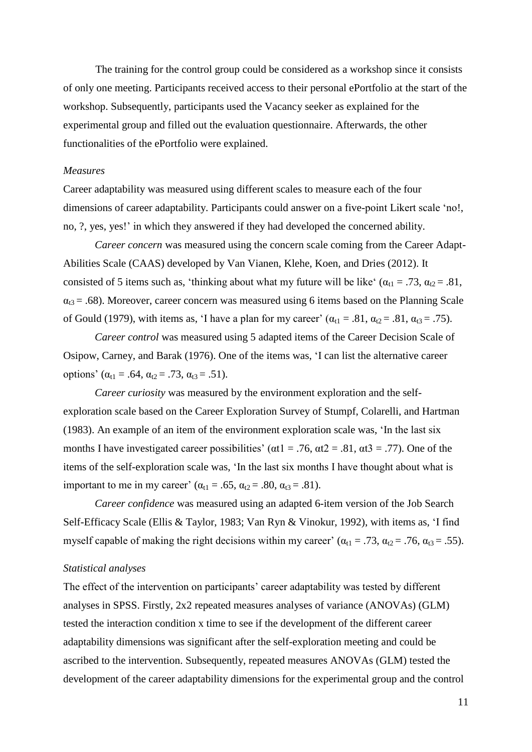The training for the control group could be considered as a workshop since it consists of only one meeting. Participants received access to their personal ePortfolio at the start of the workshop. Subsequently, participants used the Vacancy seeker as explained for the experimental group and filled out the evaluation questionnaire. Afterwards, the other functionalities of the ePortfolio were explained.

# *Measures*

Career adaptability was measured using different scales to measure each of the four dimensions of career adaptability. Participants could answer on a five-point Likert scale 'no!, no, ?, yes, yes!' in which they answered if they had developed the concerned ability.

*Career concern* was measured using the concern scale coming from the Career Adapt-Abilities Scale (CAAS) developed by Van Vianen, Klehe, Koen, and Dries (2012). It consisted of 5 items such as, 'thinking about what my future will be like' ( $\alpha_{t1} = .73$ ,  $\alpha_{t2} = .81$ ,  $\alpha_{13} = .68$ ). Moreover, career concern was measured using 6 items based on the Planning Scale of Gould (1979), with items as, 'I have a plan for my career'  $(\alpha_{t1} = .81, \alpha_{t2} = .81, \alpha_{t3} = .75)$ .

*Career control* was measured using 5 adapted items of the Career Decision Scale of Osipow, Carney, and Barak (1976). One of the items was, 'I can list the alternative career options' ( $\alpha_{t1} = .64$ ,  $\alpha_{t2} = .73$ ,  $\alpha_{t3} = .51$ ).

*Career curiosity* was measured by the environment exploration and the selfexploration scale based on the Career Exploration Survey of Stumpf, Colarelli, and Hartman (1983). An example of an item of the environment exploration scale was, 'In the last six months I have investigated career possibilities' ( $\alpha t1 = .76$ ,  $\alpha t2 = .81$ ,  $\alpha t3 = .77$ ). One of the items of the self-exploration scale was, 'In the last six months I have thought about what is important to me in my career' ( $\alpha_{t1} = .65$ ,  $\alpha_{t2} = .80$ ,  $\alpha_{t3} = .81$ ).

*Career confidence* was measured using an adapted 6-item version of the Job Search Self-Efficacy Scale (Ellis & Taylor, 1983; Van Ryn & Vinokur, 1992), with items as, 'I find myself capable of making the right decisions within my career' ( $\alpha_{t1} = .73$ ,  $\alpha_{t2} = .76$ ,  $\alpha_{t3} = .55$ ).

#### *Statistical analyses*

The effect of the intervention on participants' career adaptability was tested by different analyses in SPSS. Firstly, 2x2 repeated measures analyses of variance (ANOVAs) (GLM) tested the interaction condition x time to see if the development of the different career adaptability dimensions was significant after the self-exploration meeting and could be ascribed to the intervention. Subsequently, repeated measures ANOVAs (GLM) tested the development of the career adaptability dimensions for the experimental group and the control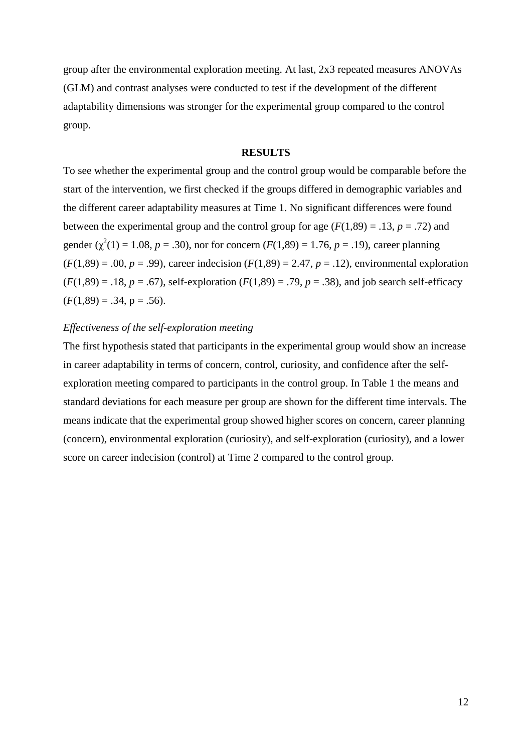group after the environmental exploration meeting. At last, 2x3 repeated measures ANOVAs (GLM) and contrast analyses were conducted to test if the development of the different adaptability dimensions was stronger for the experimental group compared to the control group.

#### **RESULTS**

To see whether the experimental group and the control group would be comparable before the start of the intervention, we first checked if the groups differed in demographic variables and the different career adaptability measures at Time 1. No significant differences were found between the experimental group and the control group for age  $(F(1,89) = .13, p = .72)$  and gender ( $\chi^2(1) = 1.08$ ,  $p = .30$ ), nor for concern ( $F(1,89) = 1.76$ ,  $p = .19$ ), career planning  $(F(1,89) = .00, p = .99)$ , career indecision  $(F(1,89) = 2.47, p = .12)$ , environmental exploration  $(F(1,89) = .18, p = .67)$ , self-exploration  $(F(1,89) = .79, p = .38)$ , and job search self-efficacy  $(F(1,89) = .34, p = .56)$ .

# *Effectiveness of the self-exploration meeting*

The first hypothesis stated that participants in the experimental group would show an increase in career adaptability in terms of concern, control, curiosity, and confidence after the selfexploration meeting compared to participants in the control group. In Table 1 the means and standard deviations for each measure per group are shown for the different time intervals. The means indicate that the experimental group showed higher scores on concern, career planning (concern), environmental exploration (curiosity), and self-exploration (curiosity), and a lower score on career indecision (control) at Time 2 compared to the control group.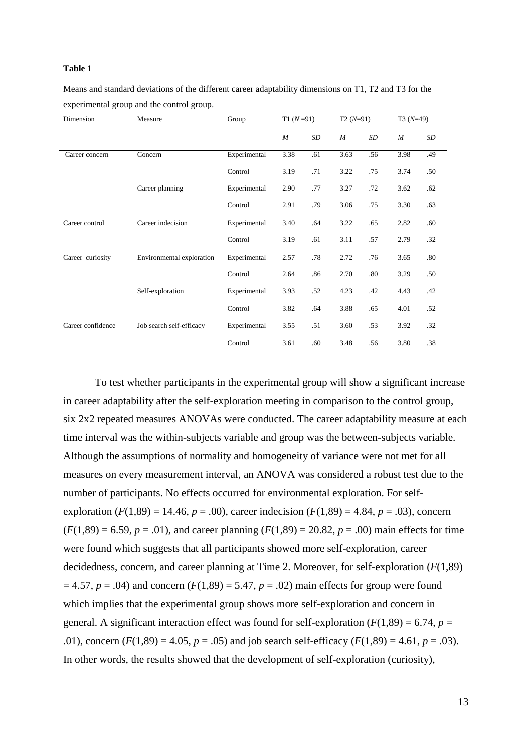#### **Table 1**

Means and standard deviations of the different career adaptability dimensions on T1, T2 and T3 for the experimental group and the control group.

| Dimension         | Measure                   | Group        | $T1(N=91)$       |     | $T2(N=91)$       |     | $T3(N=49)$       |     |
|-------------------|---------------------------|--------------|------------------|-----|------------------|-----|------------------|-----|
|                   |                           |              | $\boldsymbol{M}$ | SD  | $\boldsymbol{M}$ | SD  | $\boldsymbol{M}$ | SD  |
| Career concern    | Concern                   | Experimental | 3.38             | .61 | 3.63             | .56 | 3.98             | .49 |
|                   |                           | Control      | 3.19             | .71 | 3.22             | .75 | 3.74             | .50 |
|                   | Career planning           | Experimental | 2.90             | .77 | 3.27             | .72 | 3.62             | .62 |
|                   |                           | Control      | 2.91             | .79 | 3.06             | .75 | 3.30             | .63 |
| Career control    | Career indecision         | Experimental | 3.40             | .64 | 3.22             | .65 | 2.82             | .60 |
|                   |                           | Control      | 3.19             | .61 | 3.11             | .57 | 2.79             | .32 |
| Career curiosity  | Environmental exploration | Experimental | 2.57             | .78 | 2.72             | .76 | 3.65             | .80 |
|                   |                           | Control      | 2.64             | .86 | 2.70             | .80 | 3.29             | .50 |
|                   | Self-exploration          | Experimental | 3.93             | .52 | 4.23             | .42 | 4.43             | .42 |
|                   |                           | Control      | 3.82             | .64 | 3.88             | .65 | 4.01             | .52 |
| Career confidence | Job search self-efficacy  | Experimental | 3.55             | .51 | 3.60             | .53 | 3.92             | .32 |
|                   |                           | Control      | 3.61             | .60 | 3.48             | .56 | 3.80             | .38 |

To test whether participants in the experimental group will show a significant increase in career adaptability after the self-exploration meeting in comparison to the control group, six 2x2 repeated measures ANOVAs were conducted. The career adaptability measure at each time interval was the within-subjects variable and group was the between-subjects variable. Although the assumptions of normality and homogeneity of variance were not met for all measures on every measurement interval, an ANOVA was considered a robust test due to the number of participants. No effects occurred for environmental exploration. For selfexploration  $(F(1,89) = 14.46, p = .00)$ , career indecision  $(F(1,89) = 4.84, p = .03)$ , concern  $(F(1,89) = 6.59, p = .01)$ , and career planning  $(F(1,89) = 20.82, p = .00)$  main effects for time were found which suggests that all participants showed more self-exploration, career decidedness, concern, and career planning at Time 2. Moreover, for self-exploration (*F*(1,89)  $= 4.57$ ,  $p = .04$ ) and concern  $(F(1,89) = 5.47, p = .02)$  main effects for group were found which implies that the experimental group shows more self-exploration and concern in general. A significant interaction effect was found for self-exploration  $(F(1,89) = 6.74, p =$ .01), concern  $(F(1,89) = 4.05, p = .05)$  and job search self-efficacy  $(F(1,89) = 4.61, p = .03)$ . In other words, the results showed that the development of self-exploration (curiosity),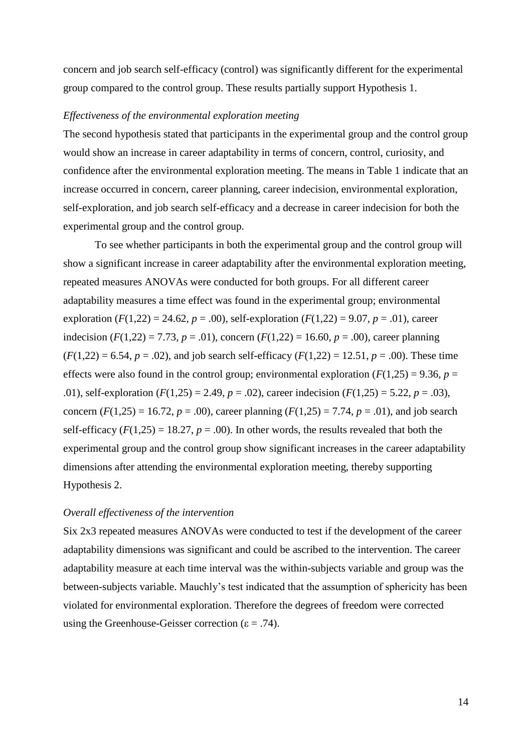concern and job search self-efficacy (control) was significantly different for the experimental group compared to the control group. These results partially support Hypothesis 1.

# *Effectiveness of the environmental exploration meeting*

The second hypothesis stated that participants in the experimental group and the control group would show an increase in career adaptability in terms of concern, control, curiosity, and confidence after the environmental exploration meeting. The means in Table 1 indicate that an increase occurred in concern, career planning, career indecision, environmental exploration, self-exploration, and job search self-efficacy and a decrease in career indecision for both the experimental group and the control group.

To see whether participants in both the experimental group and the control group will show a significant increase in career adaptability after the environmental exploration meeting, repeated measures ANOVAs were conducted for both groups. For all different career adaptability measures a time effect was found in the experimental group; environmental exploration  $(F(1,22) = 24.62, p = .00)$ , self-exploration  $(F(1,22) = 9.07, p = .01)$ , career indecision  $(F(1,22) = 7.73, p = .01)$ , concern  $(F(1,22) = 16.60, p = .00)$ , career planning  $(F(1,22) = 6.54, p = .02)$ , and job search self-efficacy  $(F(1,22) = 12.51, p = .00)$ . These time effects were also found in the control group; environmental exploration  $(F(1,25) = 9.36, p =$ .01), self-exploration (*F*(1,25) = 2.49, *p* = .02), career indecision (*F*(1,25) = 5.22, *p* = .03), concern  $(F(1,25) = 16.72, p = .00)$ , career planning  $(F(1,25) = 7.74, p = .01)$ , and job search self-efficacy  $(F(1,25) = 18.27, p = .00)$ . In other words, the results revealed that both the experimental group and the control group show significant increases in the career adaptability dimensions after attending the environmental exploration meeting, thereby supporting Hypothesis 2.

# *Overall effectiveness of the intervention*

Six 2x3 repeated measures ANOVAs were conducted to test if the development of the career adaptability dimensions was significant and could be ascribed to the intervention. The career adaptability measure at each time interval was the within-subjects variable and group was the between-subjects variable. Mauchly's test indicated that the assumption of sphericity has been violated for environmental exploration. Therefore the degrees of freedom were corrected using the Greenhouse-Geisser correction ( $\varepsilon$  = .74).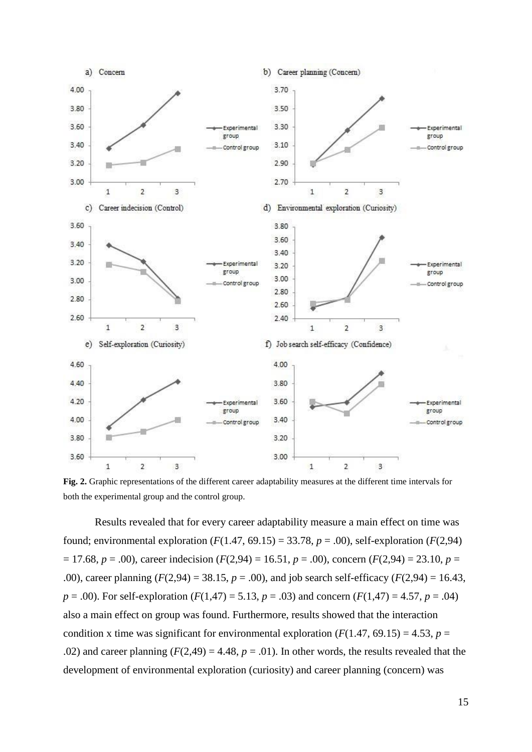

**Fig. 2.** Graphic representations of the different career adaptability measures at the different time intervals for both the experimental group and the control group.

Results revealed that for every career adaptability measure a main effect on time was found; environmental exploration  $(F(1.47, 69.15) = 33.78, p = .00)$ , self-exploration  $(F(2,94)$  $= 17.68$ ,  $p = .00$ ), career indecision ( $F(2,94) = 16.51$ ,  $p = .00$ ), concern ( $F(2,94) = 23.10$ ,  $p =$ .00), career planning  $(F(2,94) = 38.15, p = .00)$ , and job search self-efficacy  $(F(2,94) = 16.43,$ *p* = .00). For self-exploration (*F*(1,47) = 5.13, *p* = .03) and concern (*F*(1,47) = 4.57, *p* = .04) also a main effect on group was found. Furthermore, results showed that the interaction condition x time was significant for environmental exploration ( $F(1.47, 69.15) = 4.53$ ,  $p =$ .02) and career planning  $(F(2,49) = 4.48, p = .01)$ . In other words, the results revealed that the development of environmental exploration (curiosity) and career planning (concern) was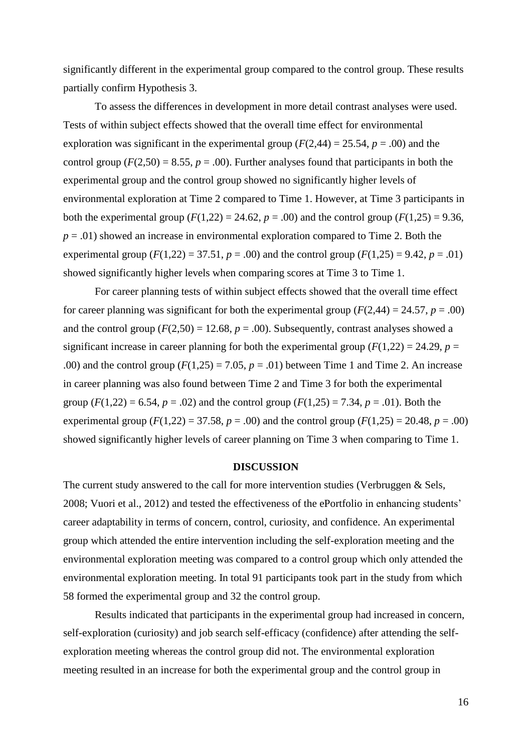significantly different in the experimental group compared to the control group. These results partially confirm Hypothesis 3.

To assess the differences in development in more detail contrast analyses were used. Tests of within subject effects showed that the overall time effect for environmental exploration was significant in the experimental group ( $F(2,44) = 25.54$ ,  $p = .00$ ) and the control group ( $F(2,50) = 8.55$ ,  $p = .00$ ). Further analyses found that participants in both the experimental group and the control group showed no significantly higher levels of environmental exploration at Time 2 compared to Time 1. However, at Time 3 participants in both the experimental group ( $F(1,22) = 24.62$ ,  $p = .00$ ) and the control group ( $F(1,25) = 9.36$ ,  $p = .01$ ) showed an increase in environmental exploration compared to Time 2. Both the experimental group ( $F(1,22) = 37.51$ ,  $p = .00$ ) and the control group ( $F(1,25) = 9.42$ ,  $p = .01$ ) showed significantly higher levels when comparing scores at Time 3 to Time 1.

For career planning tests of within subject effects showed that the overall time effect for career planning was significant for both the experimental group  $(F(2,44) = 24.57, p = .00)$ and the control group  $(F(2,50) = 12.68, p = .00)$ . Subsequently, contrast analyses showed a significant increase in career planning for both the experimental group  $(F(1,22) = 24.29, p =$ .00) and the control group  $(F(1,25) = 7.05, p = .01)$  between Time 1 and Time 2. An increase in career planning was also found between Time 2 and Time 3 for both the experimental group  $(F(1,22) = 6.54, p = .02)$  and the control group  $(F(1,25) = 7.34, p = .01)$ . Both the experimental group ( $F(1,22) = 37.58$ ,  $p = .00$ ) and the control group ( $F(1,25) = 20.48$ ,  $p = .00$ ) showed significantly higher levels of career planning on Time 3 when comparing to Time 1.

# **DISCUSSION**

The current study answered to the call for more intervention studies (Verbruggen & Sels, 2008; Vuori et al., 2012) and tested the effectiveness of the ePortfolio in enhancing students' career adaptability in terms of concern, control, curiosity, and confidence. An experimental group which attended the entire intervention including the self-exploration meeting and the environmental exploration meeting was compared to a control group which only attended the environmental exploration meeting. In total 91 participants took part in the study from which 58 formed the experimental group and 32 the control group.

Results indicated that participants in the experimental group had increased in concern, self-exploration (curiosity) and job search self-efficacy (confidence) after attending the selfexploration meeting whereas the control group did not. The environmental exploration meeting resulted in an increase for both the experimental group and the control group in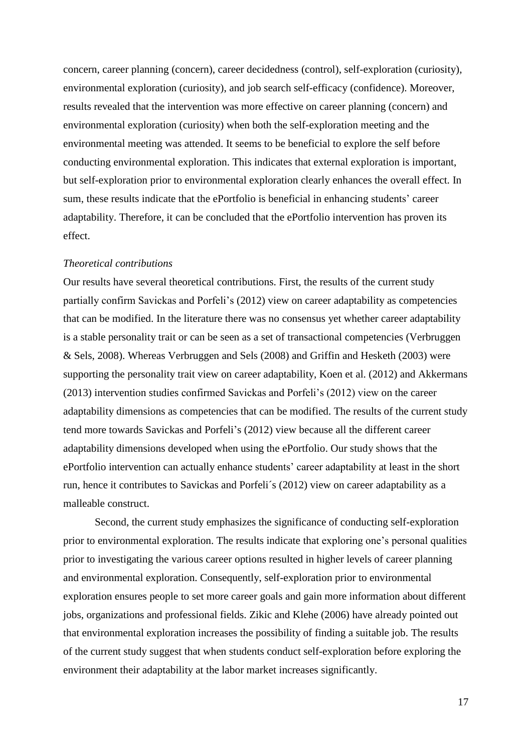concern, career planning (concern), career decidedness (control), self-exploration (curiosity), environmental exploration (curiosity), and job search self-efficacy (confidence). Moreover, results revealed that the intervention was more effective on career planning (concern) and environmental exploration (curiosity) when both the self-exploration meeting and the environmental meeting was attended. It seems to be beneficial to explore the self before conducting environmental exploration. This indicates that external exploration is important, but self-exploration prior to environmental exploration clearly enhances the overall effect. In sum, these results indicate that the ePortfolio is beneficial in enhancing students' career adaptability. Therefore, it can be concluded that the ePortfolio intervention has proven its effect.

#### *Theoretical contributions*

Our results have several theoretical contributions. First, the results of the current study partially confirm Savickas and Porfeli's (2012) view on career adaptability as competencies that can be modified. In the literature there was no consensus yet whether career adaptability is a stable personality trait or can be seen as a set of transactional competencies (Verbruggen & Sels, 2008). Whereas Verbruggen and Sels (2008) and Griffin and Hesketh (2003) were supporting the personality trait view on career adaptability, Koen et al. (2012) and Akkermans (2013) intervention studies confirmed Savickas and Porfeli's (2012) view on the career adaptability dimensions as competencies that can be modified. The results of the current study tend more towards Savickas and Porfeli's (2012) view because all the different career adaptability dimensions developed when using the ePortfolio. Our study shows that the ePortfolio intervention can actually enhance students' career adaptability at least in the short run, hence it contributes to Savickas and Porfeli´s (2012) view on career adaptability as a malleable construct.

Second, the current study emphasizes the significance of conducting self-exploration prior to environmental exploration. The results indicate that exploring one's personal qualities prior to investigating the various career options resulted in higher levels of career planning and environmental exploration. Consequently, self-exploration prior to environmental exploration ensures people to set more career goals and gain more information about different jobs, organizations and professional fields. Zikic and Klehe (2006) have already pointed out that environmental exploration increases the possibility of finding a suitable job. The results of the current study suggest that when students conduct self-exploration before exploring the environment their adaptability at the labor market increases significantly.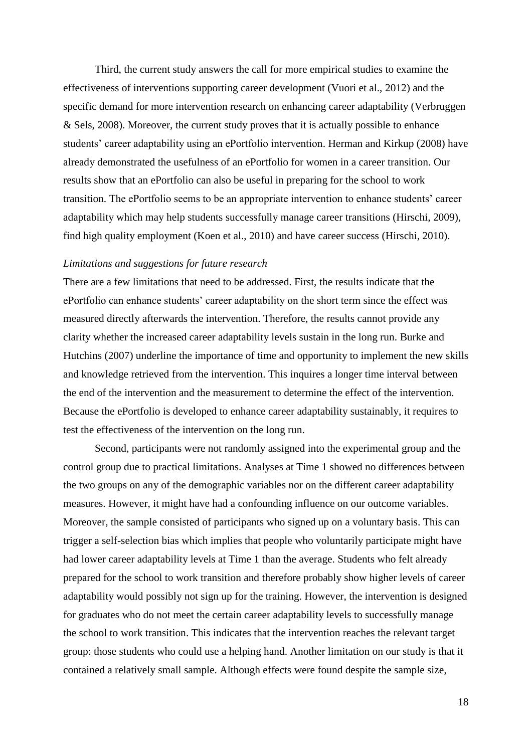Third, the current study answers the call for more empirical studies to examine the effectiveness of interventions supporting career development (Vuori et al., 2012) and the specific demand for more intervention research on enhancing career adaptability (Verbruggen & Sels, 2008). Moreover, the current study proves that it is actually possible to enhance students' career adaptability using an ePortfolio intervention. Herman and Kirkup (2008) have already demonstrated the usefulness of an ePortfolio for women in a career transition. Our results show that an ePortfolio can also be useful in preparing for the school to work transition. The ePortfolio seems to be an appropriate intervention to enhance students' career adaptability which may help students successfully manage career transitions (Hirschi, 2009), find high quality employment (Koen et al., 2010) and have career success (Hirschi, 2010).

# *Limitations and suggestions for future research*

There are a few limitations that need to be addressed. First, the results indicate that the ePortfolio can enhance students' career adaptability on the short term since the effect was measured directly afterwards the intervention. Therefore, the results cannot provide any clarity whether the increased career adaptability levels sustain in the long run. Burke and Hutchins (2007) underline the importance of time and opportunity to implement the new skills and knowledge retrieved from the intervention. This inquires a longer time interval between the end of the intervention and the measurement to determine the effect of the intervention. Because the ePortfolio is developed to enhance career adaptability sustainably, it requires to test the effectiveness of the intervention on the long run.

Second, participants were not randomly assigned into the experimental group and the control group due to practical limitations. Analyses at Time 1 showed no differences between the two groups on any of the demographic variables nor on the different career adaptability measures. However, it might have had a confounding influence on our outcome variables. Moreover, the sample consisted of participants who signed up on a voluntary basis. This can trigger a self-selection bias which implies that people who voluntarily participate might have had lower career adaptability levels at Time 1 than the average. Students who felt already prepared for the school to work transition and therefore probably show higher levels of career adaptability would possibly not sign up for the training. However, the intervention is designed for graduates who do not meet the certain career adaptability levels to successfully manage the school to work transition. This indicates that the intervention reaches the relevant target group: those students who could use a helping hand. Another limitation on our study is that it contained a relatively small sample. Although effects were found despite the sample size,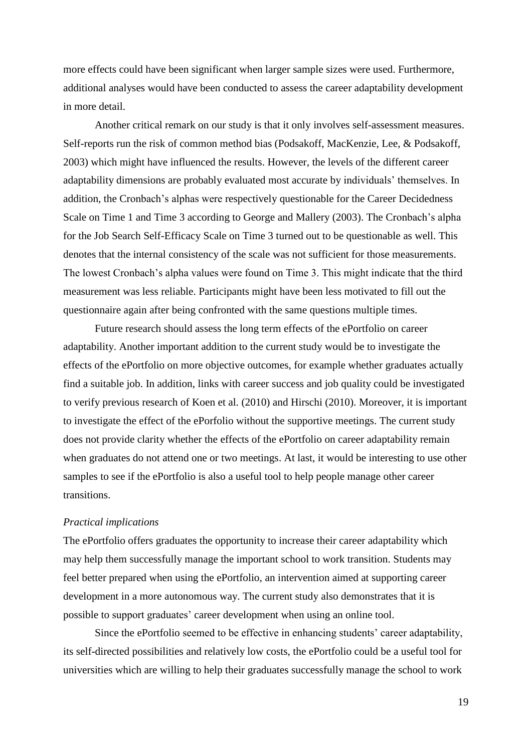more effects could have been significant when larger sample sizes were used. Furthermore, additional analyses would have been conducted to assess the career adaptability development in more detail.

Another critical remark on our study is that it only involves self-assessment measures. Self-reports run the risk of common method bias (Podsakoff, MacKenzie, Lee, & Podsakoff, 2003) which might have influenced the results. However, the levels of the different career adaptability dimensions are probably evaluated most accurate by individuals' themselves. In addition, the Cronbach's alphas were respectively questionable for the Career Decidedness Scale on Time 1 and Time 3 according to George and Mallery (2003). The Cronbach's alpha for the Job Search Self-Efficacy Scale on Time 3 turned out to be questionable as well. This denotes that the internal consistency of the scale was not sufficient for those measurements. The lowest Cronbach's alpha values were found on Time 3. This might indicate that the third measurement was less reliable. Participants might have been less motivated to fill out the questionnaire again after being confronted with the same questions multiple times.

Future research should assess the long term effects of the ePortfolio on career adaptability. Another important addition to the current study would be to investigate the effects of the ePortfolio on more objective outcomes, for example whether graduates actually find a suitable job. In addition, links with career success and job quality could be investigated to verify previous research of Koen et al. (2010) and Hirschi (2010). Moreover, it is important to investigate the effect of the ePorfolio without the supportive meetings. The current study does not provide clarity whether the effects of the ePortfolio on career adaptability remain when graduates do not attend one or two meetings. At last, it would be interesting to use other samples to see if the ePortfolio is also a useful tool to help people manage other career transitions.

# *Practical implications*

The ePortfolio offers graduates the opportunity to increase their career adaptability which may help them successfully manage the important school to work transition. Students may feel better prepared when using the ePortfolio, an intervention aimed at supporting career development in a more autonomous way. The current study also demonstrates that it is possible to support graduates' career development when using an online tool.

Since the ePortfolio seemed to be effective in enhancing students' career adaptability, its self-directed possibilities and relatively low costs, the ePortfolio could be a useful tool for universities which are willing to help their graduates successfully manage the school to work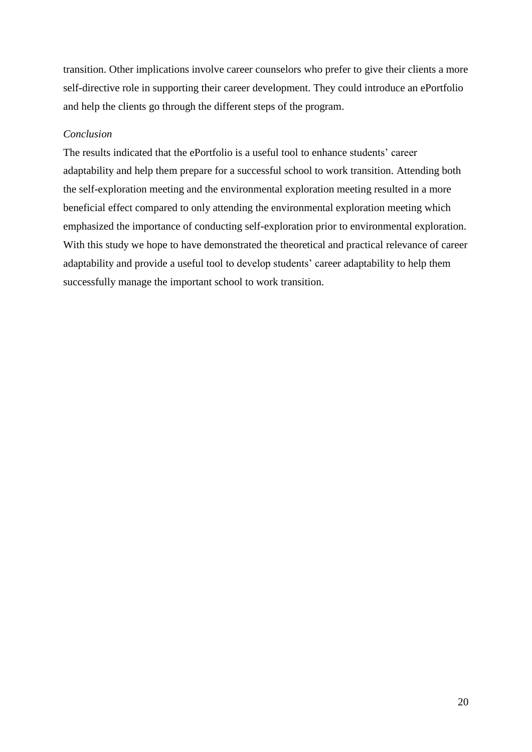transition. Other implications involve career counselors who prefer to give their clients a more self-directive role in supporting their career development. They could introduce an ePortfolio and help the clients go through the different steps of the program.

# *Conclusion*

The results indicated that the ePortfolio is a useful tool to enhance students' career adaptability and help them prepare for a successful school to work transition. Attending both the self-exploration meeting and the environmental exploration meeting resulted in a more beneficial effect compared to only attending the environmental exploration meeting which emphasized the importance of conducting self-exploration prior to environmental exploration. With this study we hope to have demonstrated the theoretical and practical relevance of career adaptability and provide a useful tool to develop students' career adaptability to help them successfully manage the important school to work transition.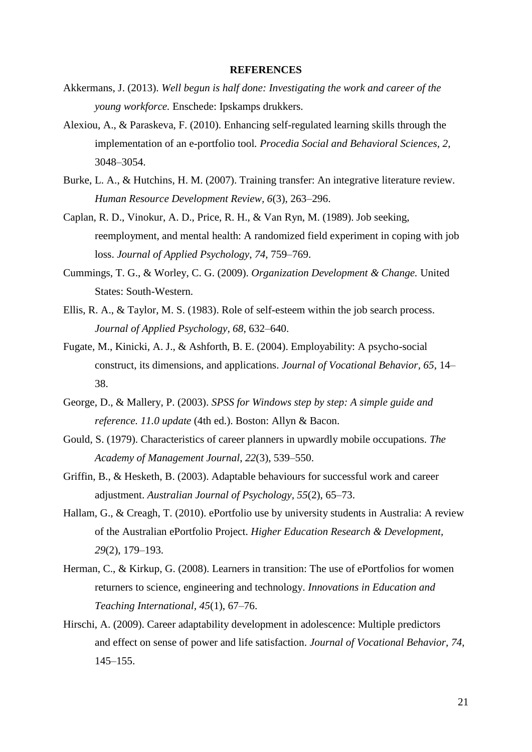#### **REFERENCES**

- Akkermans, J. (2013). *Well begun is half done: Investigating the work and career of the young workforce.* Enschede: Ipskamps drukkers.
- Alexiou, A., & Paraskeva, F. (2010). Enhancing self-regulated learning skills through the implementation of an e-portfolio tool*. Procedia Social and Behavioral Sciences, 2*, 3048–3054.
- Burke, L. A., & Hutchins, H. M. (2007). Training transfer: An integrative literature review. *Human Resource Development Review, 6*(3), 263–296.
- Caplan, R. D., Vinokur, A. D., Price, R. H., & Van Ryn, M. (1989). Job seeking, reemployment, and mental health: A randomized field experiment in coping with job loss. *Journal of Applied Psychology*, *74*, 759–769.
- Cummings, T. G., & Worley, C. G. (2009). *Organization Development & Change.* United States: South-Western.
- Ellis, R. A., & Taylor, M. S. (1983). Role of self-esteem within the job search process. *Journal of Applied Psychology, 68*, 632–640.
- Fugate, M., Kinicki, A. J., & Ashforth, B. E. (2004). Employability: A psycho-social construct, its dimensions, and applications. *Journal of Vocational Behavior, 65*, 14– 38.
- George, D., & Mallery, P. (2003). *SPSS for Windows step by step: A simple guide and reference. 11.0 update* (4th ed.). Boston: Allyn & Bacon.
- Gould, S. (1979). Characteristics of career planners in upwardly mobile occupations. *The Academy of Management Journal*, *22*(3), 539–550.
- Griffin, B., & Hesketh, B. (2003). Adaptable behaviours for successful work and career adjustment. *Australian Journal of Psychology, 55*(2), 65–73.
- Hallam, G., & Creagh, T. (2010). ePortfolio use by university students in Australia: A review of the Australian ePortfolio Project. *Higher Education Research & Development, 29*(2), 179–193.
- Herman, C., & Kirkup, G. (2008). Learners in transition: The use of ePortfolios for women returners to science, engineering and technology. *Innovations in Education and Teaching International, 45*(1), 67–76.
- Hirschi, A. (2009). Career adaptability development in adolescence: Multiple predictors and effect on sense of power and life satisfaction. *Journal of Vocational Behavior, 74*, 145–155.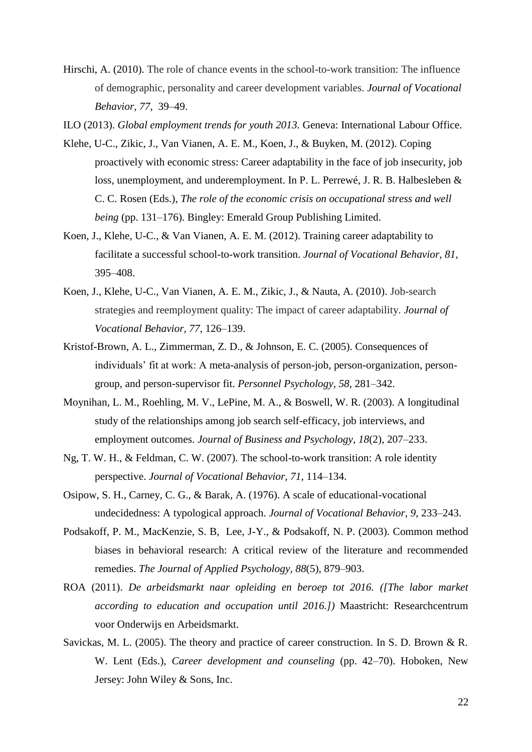Hirschi, A. (2010). The role of chance events in the school-to-work transition: The influence of demographic, personality and career development variables. *Journal of Vocational Behavior, 77*, 39–49.

ILO (2013). *Global employment trends for youth 2013.* Geneva: International Labour Office.

- Klehe, U-C., Zikic, J., Van Vianen, A. E. M., Koen, J., & Buyken, M. (2012). Coping proactively with economic stress: Career adaptability in the face of job insecurity, job loss, unemployment, and underemployment. In P. L. Perrewé, J. R. B. Halbesleben & C. C. Rosen (Eds.), *The role of the economic crisis on occupational stress and well being* (pp. 131–176). Bingley: Emerald Group Publishing Limited.
- Koen, J., Klehe, U-C., & Van Vianen, A. E. M. (2012). Training career adaptability to facilitate a successful school-to-work transition. *Journal of Vocational Behavior, 81*, 395–408.
- Koen, J., Klehe, U-C., Van Vianen, A. E. M., Zikic, J., & Nauta, A. (2010). Job-search strategies and reemployment quality: The impact of career adaptability. *Journal of Vocational Behavior, 77*, 126–139.
- Kristof-Brown, A. L., Zimmerman, Z. D., & Johnson, E. C. (2005). Consequences of individuals' fit at work: A meta-analysis of person-job, person-organization, persongroup, and person-supervisor fit. *Personnel Psychology, 58*, 281–342.
- Moynihan, L. M., Roehling, M. V., LePine, M. A., & Boswell, W. R. (2003). A longitudinal study of the relationships among job search self-efficacy, job interviews, and employment outcomes. *Journal of Business and Psychology, 18*(2), 207–233.
- Ng, T. W. H., & Feldman, C. W. (2007). The school-to-work transition: A role identity perspective. *Journal of Vocational Behavior, 71*, 114–134.
- Osipow, S. H., Carney, C. G., & Barak, A. (1976). A scale of educational-vocational undecidedness: A typological approach. *Journal of Vocational Behavior, 9*, 233–243.
- Podsakoff, P. M., MacKenzie, S. B, Lee, J-Y., & Podsakoff, N. P. (2003). Common method biases in behavioral research: A critical review of the literature and recommended remedies. *The Journal of Applied Psychology, 88*(5), 879–903.
- ROA (2011). *De arbeidsmarkt naar opleiding en beroep tot 2016. ([The labor market according to education and occupation until 2016.])* Maastricht: Researchcentrum voor Onderwijs en Arbeidsmarkt.
- Savickas, M. L. (2005). The theory and practice of career construction. In S. D. Brown & R. W. Lent (Eds.), *Career development and counseling* (pp. 42–70). Hoboken, New Jersey: John Wiley & Sons, Inc.